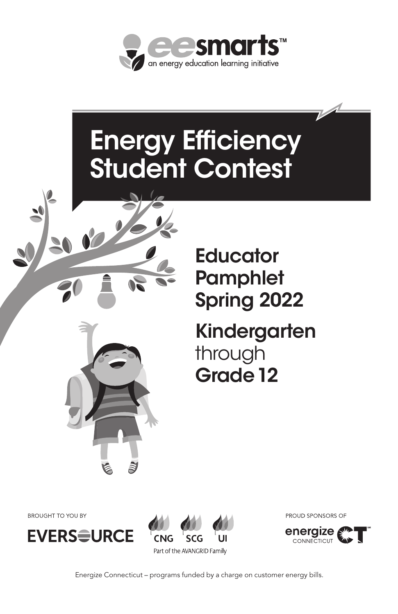

# Energy Efficiency Student Contest



# **Educator Pamphlet** Spring 2022

# Kindergarten through Grade 12

**BROUGHT TO YOU BY** 





PROUD SPONSORS OF



Energize Connecticut – programs funded by a charge on customer energy bills.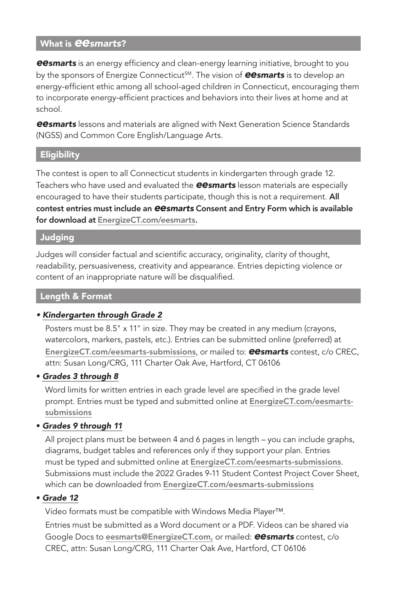# What is *eesmarts*?

*eesmarts* is an energy efficiency and clean-energy learning initiative, brought to you by the sponsors of Energize Connecticut<sup>SM</sup>. The vision of **eesmarts** is to develop an energy-efficient ethic among all school-aged children in Connecticut, encouraging them to incorporate energy-efficient practices and behaviors into their lives at home and at school.

*eesmarts* lessons and materials are aligned with Next Generation Science Standards (NGSS) and Common Core English/Language Arts.

#### **Eligibility**

The contest is open to all Connecticut students in kindergarten through grade 12. Teachers who have used and evaluated the *eesmarts* lesson materials are especially encouraged to have their students participate, though this is not a requirement. All contest entries must include an *eesmarts* Consent and Entry Form which is available for download at EnergizeCT.com/eesmarts.

#### Judging

Judges will consider factual and scientific accuracy, originality, clarity of thought, readability, persuasiveness, creativity and appearance. Entries depicting violence or content of an inappropriate nature will be disqualified.

#### Length & Format

#### *• Kindergarten through Grade 2*

Posters must be 8.5" x 11" in size. They may be created in any medium (crayons, watercolors, markers, pastels, etc.). Entries can be submitted online (preferred) at EnergizeCT.com/eesmarts-submissions, or mailed to: *eesmarts* contest, c/o CREC, attn: Susan Long/CRG, 111 Charter Oak Ave, Hartford, CT 06106

#### • *Grades 3 through 8*

Word limits for written entries in each grade level are specified in the grade level prompt. Entries must be typed and submitted online at EnergizeCT.com/eesmartssubmissions

# • *Grades 9 through 11*

All project plans must be between 4 and 6 pages in length – you can include graphs, diagrams, budget tables and references only if they support your plan. Entries must be typed and submitted online at EnergizeCT.com/eesmarts-submissions. Submissions must include the 2022 Grades 9-11 Student Contest Project Cover Sheet, which can be downloaded from EnergizeCT.com/eesmarts-submissions

#### • *Grade 12*

Video formats must be compatible with Windows Media Player™.

Entries must be submitted as a Word document or a PDF. Videos can be shared via Google Docs to eesmarts@EnergizeCT.com, or mailed: *eesmarts* contest, c/o CREC, attn: Susan Long/CRG, 111 Charter Oak Ave, Hartford, CT 06106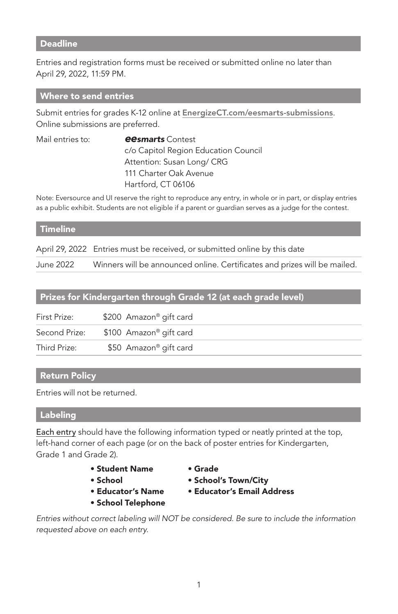#### **Deadline**

Entries and registration forms must be received or submitted online no later than April 29, 2022, 11:59 PM.

#### Where to send entries

Submit entries for grades K-12 online at EnergizeCT.com/eesmarts-submissions. Online submissions are preferred.

| Mail entries to: | <b>eesmarts</b> Contest              |
|------------------|--------------------------------------|
|                  | c/o Capitol Region Education Council |
|                  | Attention: Susan Long/ CRG           |
|                  | 111 Charter Oak Avenue               |
|                  | Hartford, CT 06106                   |
|                  |                                      |

Note: Eversource and UI reserve the right to reproduce any entry, in whole or in part, or display entries as a public exhibit. Students are not eligible if a parent or guardian serves as a judge for the contest.

#### **Timeline**

April 29, 2022 Entries must be received, or submitted online by this date June 2022 Winners will be announced online. Certificates and prizes will be mailed.

# Prizes for Kindergarten through Grade 12 (at each grade level)

| First Prize:  | \$200 Amazon® gift card |
|---------------|-------------------------|
| Second Prize: | \$100 Amazon® gift card |
| Third Prize:  | \$50 Amazon® gift card  |

# Return Policy

Entries will not be returned.

#### Labeling

Each entry should have the following information typed or neatly printed at the top, left-hand corner of each page (or on the back of poster entries for Kindergarten, Grade 1 and Grade 2).

- Student Name Grade
- 
- 
- School Telephone
- 
- School School's Town/City
- Educator's Name Educator's Email Address

*Entries without correct labeling will NOT be considered. Be sure to include the information requested above on each entry.*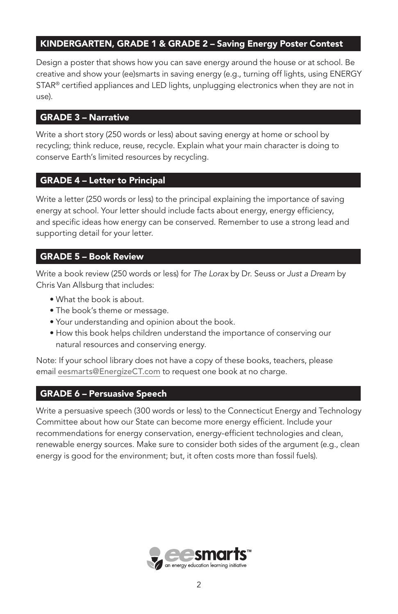# KINDERGARTEN, GRADE 1 & GRADE 2 – Saving Energy Poster Contest

Design a poster that shows how you can save energy around the house or at school. Be creative and show your (ee)smarts in saving energy (e.g., turning off lights, using ENERGY STAR® certified appliances and LED lights, unplugging electronics when they are not in use).

# GRADE 3 – Narrative

Write a short story (250 words or less) about saving energy at home or school by recycling; think reduce, reuse, recycle. Explain what your main character is doing to conserve Earth's limited resources by recycling.

# GRADE 4 – Letter to Principal

Write a letter (250 words or less) to the principal explaining the importance of saving energy at school. Your letter should include facts about energy, energy efficiency, and specific ideas how energy can be conserved. Remember to use a strong lead and supporting detail for your letter.

# GRADE 5 – Book Review

Write a book review (250 words or less) for *The Lorax* by Dr. Seuss or *Just a Dream* by Chris Van Allsburg that includes:

- What the book is about.
- The book's theme or message.
- Your understanding and opinion about the book.
- How this book helps children understand the importance of conserving our natural resources and conserving energy.

Note: If your school library does not have a copy of these books, teachers, please email eesmarts@EnergizeCT.com to request one book at no charge.

# GRADE 6 – Persuasive Speech

Write a persuasive speech (300 words or less) to the Connecticut Energy and Technology Committee about how our State can become more energy efficient. Include your recommendations for energy conservation, energy-efficient technologies and clean, renewable energy sources. Make sure to consider both sides of the argument (e.g., clean energy is good for the environment; but, it often costs more than fossil fuels).

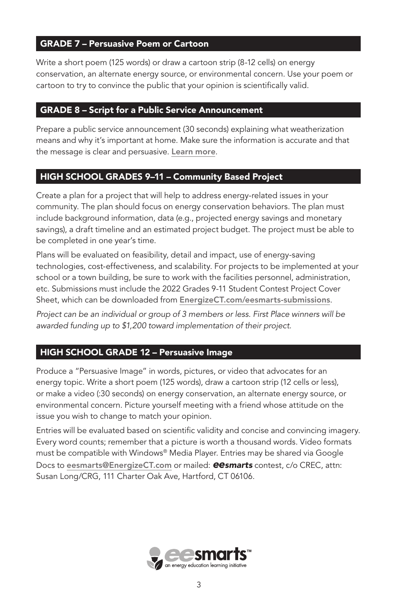# GRADE 7 – Persuasive Poem or Cartoon

Write a short poem (125 words) or draw a cartoon strip (8-12 cells) on energy conservation, an alternate energy source, or environmental concern. Use your poem or cartoon to try to convince the public that your opinion is scientifically valid.

#### GRADE 8 – Script for a Public Service Announcement

Prepare a public service announcement (30 seconds) explaining what weatherization means and why it's important at home. Make sure the information is accurate and that the message is clear and persuasive. Learn more*.*

# HIGH SCHOOL GRADES 9–11 – Community Based Project

Create a plan for a project that will help to address energy-related issues in your community. The plan should focus on energy conservation behaviors. The plan must include background information, data (e.g., projected energy savings and monetary savings), a draft timeline and an estimated project budget. The project must be able to be completed in one year's time.

Plans will be evaluated on feasibility, detail and impact, use of energy-saving technologies, cost-effectiveness, and scalability. For projects to be implemented at your school or a town building, be sure to work with the facilities personnel, administration, etc. Submissions must include the 2022 Grades 9-11 Student Contest Project Cover Sheet, which can be downloaded from EnergizeCT.com/eesmarts-submissions.

*Project can be an individual or group of 3 members or less. First Place winners will be awarded funding up to \$1,200 toward implementation of their project.*

# HIGH SCHOOL GRADE 12 – Persuasive Image

Produce a "Persuasive Image" in words, pictures, or video that advocates for an energy topic. Write a short poem (125 words), draw a cartoon strip (12 cells or less), or make a video (:30 seconds) on energy conservation, an alternate energy source, or environmental concern. Picture yourself meeting with a friend whose attitude on the issue you wish to change to match your opinion.

Entries will be evaluated based on scientific validity and concise and convincing imagery. Every word counts; remember that a picture is worth a thousand words. Video formats must be compatible with Windows® Media Player. Entries may be shared via Google Docs to eesmarts@EnergizeCT.com or mailed: *eesmarts* contest, c/o CREC, attn: Susan Long/CRG, 111 Charter Oak Ave, Hartford, CT 06106.